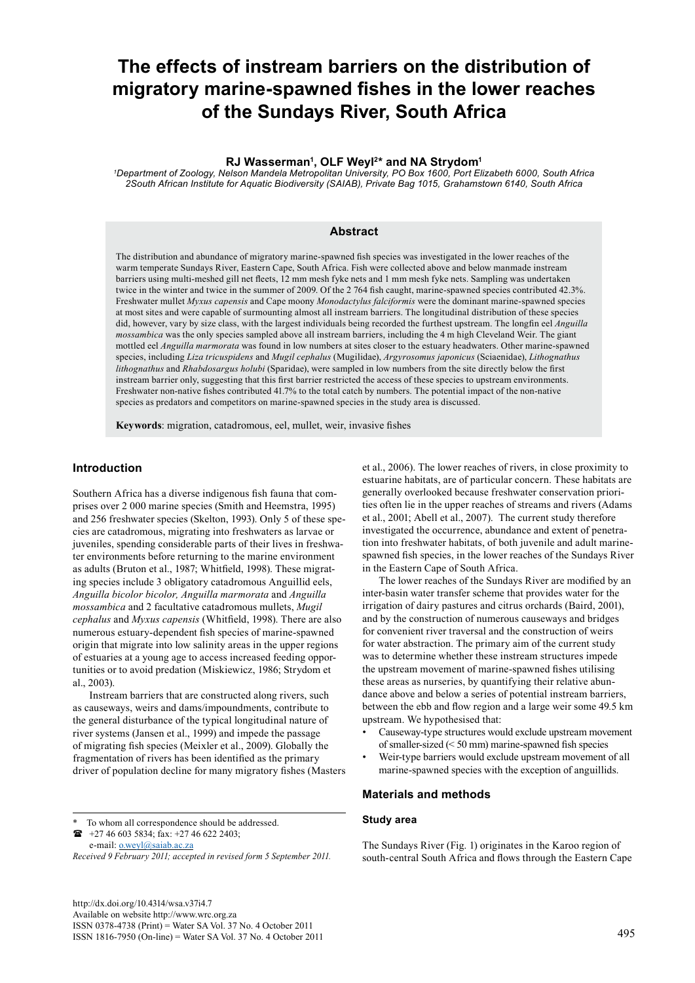# **The effects of instream barriers on the distribution of migratory marine-spawned fishes in the lower reaches of the Sundays River, South Africa**

# **RJ Wasserman1 , OLF Weyl2\* and NA Strydom1**

*1 Department of Zoology, Nelson Mandela Metropolitan University, PO Box 1600, Port Elizabeth 6000, South Africa 2South African Institute for Aquatic Biodiversity (SAIAB), Private Bag 1015, Grahamstown 6140, South Africa*

## **Abstract**

The distribution and abundance of migratory marine-spawned fish species was investigated in the lower reaches of the warm temperate Sundays River, Eastern Cape, South Africa. Fish were collected above and below manmade instream barriers using multi-meshed gill net fleets, 12 mm mesh fyke nets and 1 mm mesh fyke nets. Sampling was undertaken twice in the winter and twice in the summer of 2009. Of the 2 764 fish caught, marine-spawned species contributed 42.3%. Freshwater mullet *Myxus capensis* and Cape moony *Monodactylus falciformis* were the dominant marine-spawned species at most sites and were capable of surmounting almost all instream barriers. The longitudinal distribution of these species did, however, vary by size class, with the largest individuals being recorded the furthest upstream. The longfin eel *Anguilla mossambica* was the only species sampled above all instream barriers, including the 4 m high Cleveland Weir. The giant mottled eel *Anguilla marmorata* was found in low numbers at sites closer to the estuary headwaters. Other marine-spawned species, including *Liza tricuspidens* and *Mugil cephalus* (Mugilidae), *Argyrosomus japonicus* (Sciaenidae), *Lithognathus lithognathus* and *Rhabdosargus holubi* (Sparidae), were sampled in low numbers from the site directly below the first instream barrier only, suggesting that this first barrier restricted the access of these species to upstream environments. Freshwater non-native fishes contributed 41.7% to the total catch by numbers. The potential impact of the non-native species as predators and competitors on marine-spawned species in the study area is discussed.

**Keywords**: migration, catadromous, eel, mullet, weir, invasive fishes

# **Introduction**

Southern Africa has a diverse indigenous fish fauna that comprises over 2 000 marine species (Smith and Heemstra, 1995) and 256 freshwater species (Skelton, 1993). Only 5 of these species are catadromous, migrating into freshwaters as larvae or juveniles, spending considerable parts of their lives in freshwater environments before returning to the marine environment as adults (Bruton et al., 1987; Whitfield, 1998). These migrating species include 3 obligatory catadromous Anguillid eels, *Anguilla bicolor bicolor, Anguilla marmorata* and *Anguilla mossambica* and 2 facultative catadromous mullets, *Mugil cephalus* and *Myxus capensis* (Whitfield, 1998). There are also numerous estuary-dependent fish species of marine-spawned origin that migrate into low salinity areas in the upper regions of estuaries at a young age to access increased feeding opportunities or to avoid predation (Miskiewicz, 1986; Strydom et al., 2003).

Instream barriers that are constructed along rivers, such as causeways, weirs and dams/impoundments, contribute to the general disturbance of the typical longitudinal nature of river systems (Jansen et al., 1999) and impede the passage of migrating fish species (Meixler et al., 2009). Globally the fragmentation of rivers has been identified as the primary driver of population decline for many migratory fishes (Masters

To whom all correspondence should be addressed. +27 46 603 5834; fax: +27 46 622 2403;

e-mail: [o.weyl@saiab.ac.za](mailto:o.weyl@saiab.ac.za) 

*Received 9 February 2011; accepted in revised form 5 September 2011.*

<http://dx.doi.org/10.4314/wsa.v37i4.7> Available on website http://www.wrc.org.za ISSN 0378-4738 (Print) = Water SA Vol. 37 No. 4 October 2011 ISSN 1816-7950 (On-line) = Water SA Vol. 37 No. 4 October 2011 495

et al., 2006). The lower reaches of rivers, in close proximity to estuarine habitats, are of particular concern. These habitats are generally overlooked because freshwater conservation priorities often lie in the upper reaches of streams and rivers (Adams et al., 2001; Abell et al., 2007). The current study therefore investigated the occurrence, abundance and extent of penetration into freshwater habitats, of both juvenile and adult marinespawned fish species, in the lower reaches of the Sundays River in the Eastern Cape of South Africa.

The lower reaches of the Sundays River are modified by an inter-basin water transfer scheme that provides water for the irrigation of dairy pastures and citrus orchards (Baird, 2001), and by the construction of numerous causeways and bridges for convenient river traversal and the construction of weirs for water abstraction. The primary aim of the current study was to determine whether these instream structures impede the upstream movement of marine-spawned fishes utilising these areas as nurseries, by quantifying their relative abundance above and below a series of potential instream barriers, between the ebb and flow region and a large weir some 49.5 km upstream. We hypothesised that:

- Causeway-type structures would exclude upstream movement of smaller-sized (< 50 mm) marine-spawned fish species
- Weir-type barriers would exclude upstream movement of all marine-spawned species with the exception of anguillids.

# **Materials and methods**

#### **Study area**

The Sundays River (Fig. 1) originates in the Karoo region of south-central South Africa and flows through the Eastern Cape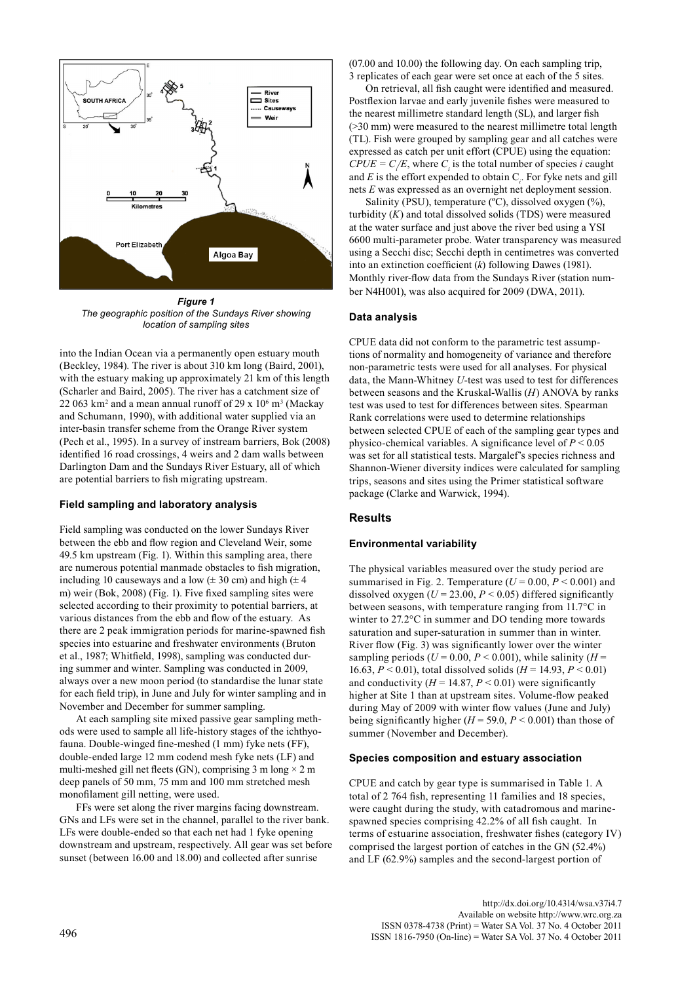

*Figure 1 The geographic position of the Sundays River showing location of sampling sites*

into the Indian Ocean via a permanently open estuary mouth (Beckley, 1984). The river is about 310 km long (Baird, 2001), with the estuary making up approximately 21 km of this length (Scharler and Baird, 2005). The river has a catchment size of 22 063 km<sup>2</sup> and a mean annual runoff of 29 x  $10^6$  m<sup>3</sup> (Mackay and Schumann, 1990), with additional water supplied via an inter-basin transfer scheme from the Orange River system (Pech et al., 1995). In a survey of instream barriers, Bok (2008) identified 16 road crossings, 4 weirs and 2 dam walls between Darlington Dam and the Sundays River Estuary, all of which are potential barriers to fish migrating upstream.

#### **Field sampling and laboratory analysis**

Field sampling was conducted on the lower Sundays River between the ebb and flow region and Cleveland Weir, some 49.5 km upstream (Fig. 1). Within this sampling area, there are numerous potential manmade obstacles to fish migration, including 10 causeways and a low  $(\pm 30 \text{ cm})$  and high  $(\pm 4$ m) weir (Bok, 2008) (Fig. 1). Five fixed sampling sites were selected according to their proximity to potential barriers, at various distances from the ebb and flow of the estuary. As there are 2 peak immigration periods for marine-spawned fish species into estuarine and freshwater environments (Bruton et al., 1987; Whitfield, 1998), sampling was conducted during summer and winter. Sampling was conducted in 2009, always over a new moon period (to standardise the lunar state for each field trip), in June and July for winter sampling and in November and December for summer sampling.

At each sampling site mixed passive gear sampling methods were used to sample all life-history stages of the ichthyofauna. Double-winged fine-meshed (1 mm) fyke nets (FF), double-ended large 12 mm codend mesh fyke nets (LF) and multi-meshed gill net fleets (GN), comprising 3 m long  $\times$  2 m deep panels of 50 mm, 75 mm and 100 mm stretched mesh monofilament gill netting, were used.

FFs were set along the river margins facing downstream. GNs and LFs were set in the channel, parallel to the river bank. LFs were double-ended so that each net had 1 fyke opening downstream and upstream, respectively. All gear was set before sunset (between 16.00 and 18.00) and collected after sunrise

(07.00 and 10.00) the following day. On each sampling trip, 3 replicates of each gear were set once at each of the 5 sites.

On retrieval, all fish caught were identified and measured. Postflexion larvae and early juvenile fishes were measured to the nearest millimetre standard length (SL), and larger fish (>30 mm) were measured to the nearest millimetre total length (TL). Fish were grouped by sampling gear and all catches were expressed as catch per unit effort (CPUE) using the equation:  $CPUE = C/E$ , where  $C<sub>i</sub>$  is the total number of species *i* caught and  $E$  is the effort expended to obtain  $C_i$ . For fyke nets and gill nets *E* was expressed as an overnight net deployment session.

Salinity (PSU), temperature  $(^{\circ}C)$ , dissolved oxygen  $(^{\circ}\%)$ , turbidity  $(K)$  and total dissolved solids  $(TDS)$  were measured at the water surface and just above the river bed using a YSI 6600 multi-parameter probe. Water transparency was measured using a Secchi disc; Secchi depth in centimetres was converted into an extinction coefficient (*k*) following Dawes (1981). Monthly river-flow data from the Sundays River (station number N4H001), was also acquired for 2009 (DWA, 2011).

#### **Data analysis**

CPUE data did not conform to the parametric test assumptions of normality and homogeneity of variance and therefore non-parametric tests were used for all analyses. For physical data, the Mann-Whitney *U*-test was used to test for differences between seasons and the Kruskal-Wallis (*H*) ANOVA by ranks test was used to test for differences between sites. Spearman Rank correlations were used to determine relationships between selected CPUE of each of the sampling gear types and physico-chemical variables. A significance level of  $P \le 0.05$ was set for all statistical tests. Margalef's species richness and Shannon-Wiener diversity indices were calculated for sampling trips, seasons and sites using the Primer statistical software package (Clarke and Warwick, 1994).

## **Results**

#### **Environmental variability**

The physical variables measured over the study period are summarised in Fig. 2. Temperature  $(U = 0.00, P \le 0.001)$  and dissolved oxygen  $(U = 23.00, P < 0.05)$  differed significantly between seasons, with temperature ranging from 11.7°C in winter to 27.2°C in summer and DO tending more towards saturation and super-saturation in summer than in winter. River flow (Fig. 3) was significantly lower over the winter sampling periods ( $U = 0.00$ ,  $P \le 0.001$ ), while salinity ( $H =$ 16.63, *P* < 0.01), total dissolved solids (*H* = 14.93, *P* < 0.01) and conductivity  $(H = 14.87, P < 0.01)$  were significantly higher at Site 1 than at upstream sites. Volume-flow peaked during May of 2009 with winter flow values (June and July) being significantly higher  $(H = 59.0, P < 0.001)$  than those of summer (November and December).

#### **Species composition and estuary association**

CPUE and catch by gear type is summarised in Table 1. A total of 2 764 fish, representing 11 families and 18 species, were caught during the study, with catadromous and marinespawned species comprising 42.2% of all fish caught. In terms of estuarine association, freshwater fishes (category IV) comprised the largest portion of catches in the GN (52.4%) and LF (62.9%) samples and the second-largest portion of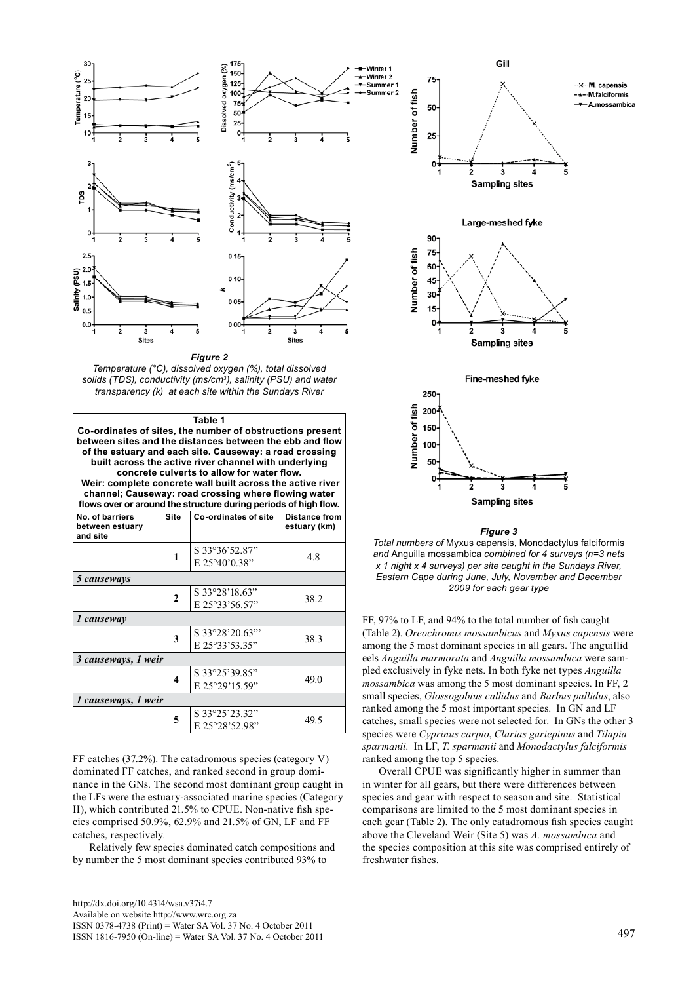

*Figure 2*

*Temperature (°C), dissolved oxygen (%), total dissolved solids (TDS), conductivity (ms/cm3), salinity (PSU) and water transparency (k) at each site within the Sundays River*

| Table 1<br>Co-ordinates of sites, the number of obstructions present<br>between sites and the distances between the ebb and flow<br>of the estuary and each site. Causeway: a road crossing<br>built across the active river channel with underlying<br>concrete culverts to allow for water flow.<br>Weir: complete concrete wall built across the active river<br>channel; Causeway: road crossing where flowing water<br>flows over or around the structure during periods of high flow. |              |                                  |                                      |  |  |  |  |
|---------------------------------------------------------------------------------------------------------------------------------------------------------------------------------------------------------------------------------------------------------------------------------------------------------------------------------------------------------------------------------------------------------------------------------------------------------------------------------------------|--------------|----------------------------------|--------------------------------------|--|--|--|--|
| No. of barriers<br>between estuary<br>and site                                                                                                                                                                                                                                                                                                                                                                                                                                              | <b>Site</b>  | Co-ordinates of site             | <b>Distance from</b><br>estuary (km) |  |  |  |  |
|                                                                                                                                                                                                                                                                                                                                                                                                                                                                                             | 1            | S 33°36'52.87"<br>E 25°40'0.38"  | 48                                   |  |  |  |  |
| 5 causeways                                                                                                                                                                                                                                                                                                                                                                                                                                                                                 |              |                                  |                                      |  |  |  |  |
|                                                                                                                                                                                                                                                                                                                                                                                                                                                                                             | $\mathbf{2}$ | S 33°28'18.63"<br>E 25°33'56.57" | 38.2                                 |  |  |  |  |
| 1 causeway                                                                                                                                                                                                                                                                                                                                                                                                                                                                                  |              |                                  |                                      |  |  |  |  |
|                                                                                                                                                                                                                                                                                                                                                                                                                                                                                             | 3            | S 33°28'20.63"<br>E 25°33'53.35" | 38.3                                 |  |  |  |  |
| 3 causeways, 1 weir                                                                                                                                                                                                                                                                                                                                                                                                                                                                         |              |                                  |                                      |  |  |  |  |
|                                                                                                                                                                                                                                                                                                                                                                                                                                                                                             | 4            | S 33°25'39.85"<br>E 25°29'15.59" | 49.0                                 |  |  |  |  |
| 1 causeways, 1 weir                                                                                                                                                                                                                                                                                                                                                                                                                                                                         |              |                                  |                                      |  |  |  |  |
|                                                                                                                                                                                                                                                                                                                                                                                                                                                                                             | 5            | S 33°25'23.32"<br>E 25°28'52.98" | 49.5                                 |  |  |  |  |

FF catches (37.2%). The catadromous species (category V) dominated FF catches, and ranked second in group dominance in the GNs. The second most dominant group caught in the LFs were the estuary-associated marine species (Category II), which contributed 21.5% to CPUE. Non-native fish species comprised 50.9%, 62.9% and 21.5% of GN, LF and FF catches, respectively.

Relatively few species dominated catch compositions and by number the 5 most dominant species contributed 93% to



#### *Figure 3*

*Total numbers of* Myxus capensis, Monodactylus falciformis *and* Anguilla mossambica *combined for 4 surveys (n=3 nets x 1 night x 4 surveys) per site caught in the Sundays River, Eastern Cape during June, July, November and December 2009 for each gear type*

FF, 97% to LF, and 94% to the total number of fish caught (Table 2). *Oreochromis mossambicus* and *Myxus capensis* were among the 5 most dominant species in all gears. The anguillid eels *Anguilla marmorata* and *Anguilla mossambica* were sampled exclusively in fyke nets. In both fyke net types *Anguilla mossambica* was among the 5 most dominant species. In FF, 2 small species, *Glossogobius callidus* and *Barbus pallidus*, also ranked among the 5 most important species. In GN and LF catches, small species were not selected for. In GNs the other 3 species were *Cyprinus carpio*, *Clarias gariepinus* and *Tilapia sparmanii*. In LF, *T. sparmanii* and *Monodactylus falciformis* ranked among the top 5 species.

Overall CPUE was significantly higher in summer than in winter for all gears, but there were differences between species and gear with respect to season and site. Statistical comparisons are limited to the 5 most dominant species in each gear (Table 2). The only catadromous fish species caught above the Cleveland Weir (Site 5) was *A. mossambica* and the species composition at this site was comprised entirely of freshwater fishes.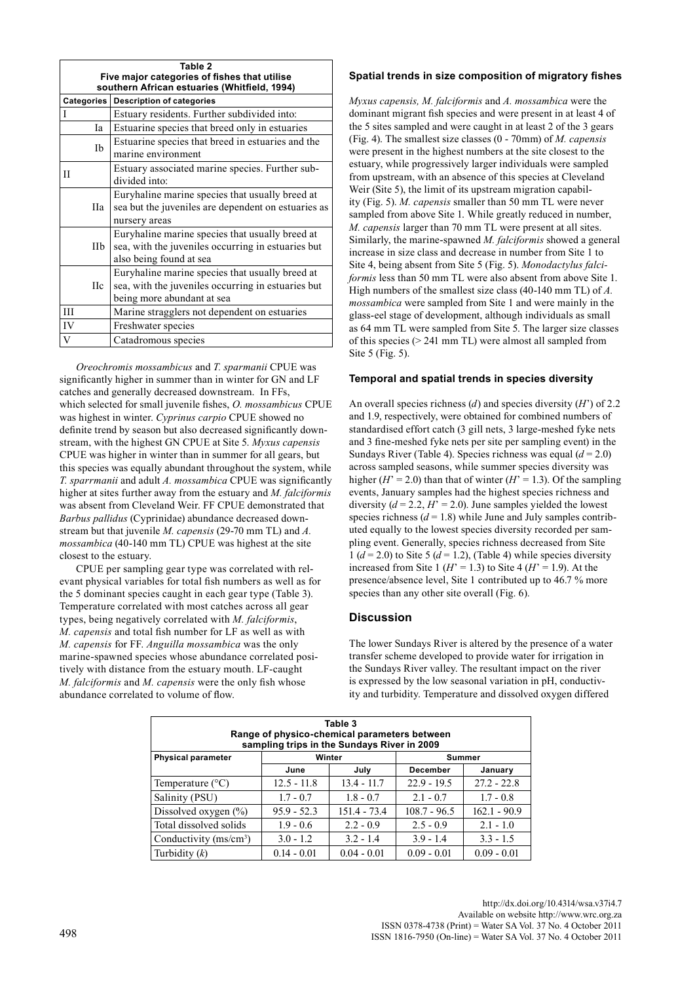| Table 2<br>Five major categories of fishes that utilise<br>southern African estuaries (Whitfield, 1994) |                                                                                                                                     |  |  |  |  |  |  |
|---------------------------------------------------------------------------------------------------------|-------------------------------------------------------------------------------------------------------------------------------------|--|--|--|--|--|--|
|                                                                                                         | <b>Description of categories</b><br>Categories                                                                                      |  |  |  |  |  |  |
|                                                                                                         | Estuary residents. Further subdivided into:                                                                                         |  |  |  |  |  |  |
| Ia                                                                                                      | Estuarine species that breed only in estuaries                                                                                      |  |  |  |  |  |  |
| Ib                                                                                                      | Estuarine species that breed in estuaries and the<br>marine environment                                                             |  |  |  |  |  |  |
| П                                                                                                       | Estuary associated marine species. Further sub-<br>divided into:                                                                    |  |  |  |  |  |  |
| Пa                                                                                                      | Euryhaline marine species that usually breed at<br>sea but the juveniles are dependent on estuaries as<br>nursery areas             |  |  |  |  |  |  |
| IIb                                                                                                     | Euryhaline marine species that usually breed at<br>sea, with the juveniles occurring in estuaries but<br>also being found at sea    |  |  |  |  |  |  |
| <b>IIc</b>                                                                                              | Euryhaline marine species that usually breed at<br>sea, with the juveniles occurring in estuaries but<br>being more abundant at sea |  |  |  |  |  |  |
| Ш                                                                                                       | Marine stragglers not dependent on estuaries                                                                                        |  |  |  |  |  |  |
| IV                                                                                                      | Freshwater species                                                                                                                  |  |  |  |  |  |  |
| V                                                                                                       | Catadromous species                                                                                                                 |  |  |  |  |  |  |

*Oreochromis mossambicus* and *T. sparmanii* CPUE was significantly higher in summer than in winter for GN and LF catches and generally decreased downstream. In FFs, which selected for small juvenile fishes, *O. mossambicus* CPUE was highest in winter. *Cyprinus carpio* CPUE showed no definite trend by season but also decreased significantly downstream, with the highest GN CPUE at Site 5. *Myxus capensis* CPUE was higher in winter than in summer for all gears, but this species was equally abundant throughout the system, while *T. sparrmanii* and adult *A. mossambica* CPUE was significantly higher at sites further away from the estuary and *M. falciformis* was absent from Cleveland Weir. FF CPUE demonstrated that *Barbus pallidus* (Cyprinidae) abundance decreased downstream but that juvenile *M. capensis* (29-70 mm TL) and *A. mossambica* (40-140 mm TL) CPUE was highest at the site closest to the estuary.

CPUE per sampling gear type was correlated with relevant physical variables for total fish numbers as well as for the 5 dominant species caught in each gear type (Table 3). Temperature correlated with most catches across all gear types, being negatively correlated with *M. falciformis*, *M. capensis* and total fish number for LF as well as with *M. capensis* for FF. *Anguilla mossambica* was the only marine-spawned species whose abundance correlated positively with distance from the estuary mouth. LF-caught *M. falciformis* and *M. capensis* were the only fish whose abundance correlated to volume of flow.

# **Spatial trends in size composition of migratory fishes**

*Myxus capensis, M. falciformis* and *A. mossambica* were the dominant migrant fish species and were present in at least 4 of the 5 sites sampled and were caught in at least 2 of the 3 gears (Fig. 4). The smallest size classes (0 - 70mm) of *M. capensis* were present in the highest numbers at the site closest to the estuary, while progressively larger individuals were sampled from upstream, with an absence of this species at Cleveland Weir (Site 5), the limit of its upstream migration capability (Fig. 5). *M. capensis* smaller than 50 mm TL were never sampled from above Site 1. While greatly reduced in number, *M. capensis* larger than 70 mm TL were present at all sites. Similarly, the marine-spawned *M. falciformis* showed a general increase in size class and decrease in number from Site 1 to Site 4, being absent from Site 5 (Fig. 5). *Monodactylus falciformis* less than 50 mm TL were also absent from above Site 1. High numbers of the smallest size class (40-140 mm TL) of *A. mossambica* were sampled from Site 1 and were mainly in the glass-eel stage of development, although individuals as small as 64 mm TL were sampled from Site 5. The larger size classes of this species (> 241 mm TL) were almost all sampled from Site 5 (Fig. 5).

## **Temporal and spatial trends in species diversity**

An overall species richness (*d*) and species diversity (*H*') of 2.2 and 1.9, respectively, were obtained for combined numbers of standardised effort catch (3 gill nets, 3 large-meshed fyke nets and 3 fine-meshed fyke nets per site per sampling event) in the Sundays River (Table 4). Species richness was equal (*d* = 2.0) across sampled seasons, while summer species diversity was higher ( $H' = 2.0$ ) than that of winter ( $H' = 1.3$ ). Of the sampling events, January samples had the highest species richness and diversity  $(d = 2.2, H' = 2.0)$ . June samples yielded the lowest species richness  $(d = 1.8)$  while June and July samples contributed equally to the lowest species diversity recorded per sampling event. Generally, species richness decreased from Site  $1 (d = 2.0)$  to Site 5 ( $d = 1.2$ ), (Table 4) while species diversity increased from Site 1 ( $H' = 1.3$ ) to Site 4 ( $H' = 1.9$ ). At the presence/absence level, Site 1 contributed up to 46.7 % more species than any other site overall (Fig. 6).

## **Discussion**

The lower Sundays River is altered by the presence of a water transfer scheme developed to provide water for irrigation in the Sundays River valley. The resultant impact on the river is expressed by the low seasonal variation in pH, conductivity and turbidity. Temperature and dissolved oxygen differed

| Table 3<br>Range of physico-chemical parameters between<br>sampling trips in the Sundays River in 2009 |               |                |                 |                |  |  |  |  |
|--------------------------------------------------------------------------------------------------------|---------------|----------------|-----------------|----------------|--|--|--|--|
| <b>Physical parameter</b>                                                                              |               | Winter         |                 | Summer         |  |  |  |  |
|                                                                                                        | June          | July           | <b>December</b> | January        |  |  |  |  |
| Temperature $(^{\circ}C)$                                                                              | $12.5 - 11.8$ | $13.4 - 11.7$  | $22.9 - 19.5$   | $27.2 - 22.8$  |  |  |  |  |
| Salinity (PSU)                                                                                         | $1.7 - 0.7$   | $1.8 - 0.7$    | $2.1 - 0.7$     | $1.7 - 0.8$    |  |  |  |  |
| Dissolved oxygen $(\% )$                                                                               | $95.9 - 52.3$ | $151.4 - 73.4$ | $108.7 - 96.5$  | $162.1 - 90.9$ |  |  |  |  |
| Total dissolved solids                                                                                 | $1.9 - 0.6$   | $2.2 - 0.9$    | $2.5 - 0.9$     | $2.1 - 1.0$    |  |  |  |  |
| Conductivity $(ms/cm3)$                                                                                | $3.0 - 1.2$   | $3.2 - 1.4$    | $3.9 - 1.4$     | $3.3 - 1.5$    |  |  |  |  |
| Turbidity $(k)$                                                                                        | $0.14 - 0.01$ | $0.04 - 0.01$  | $0.09 - 0.01$   | $0.09 - 0.01$  |  |  |  |  |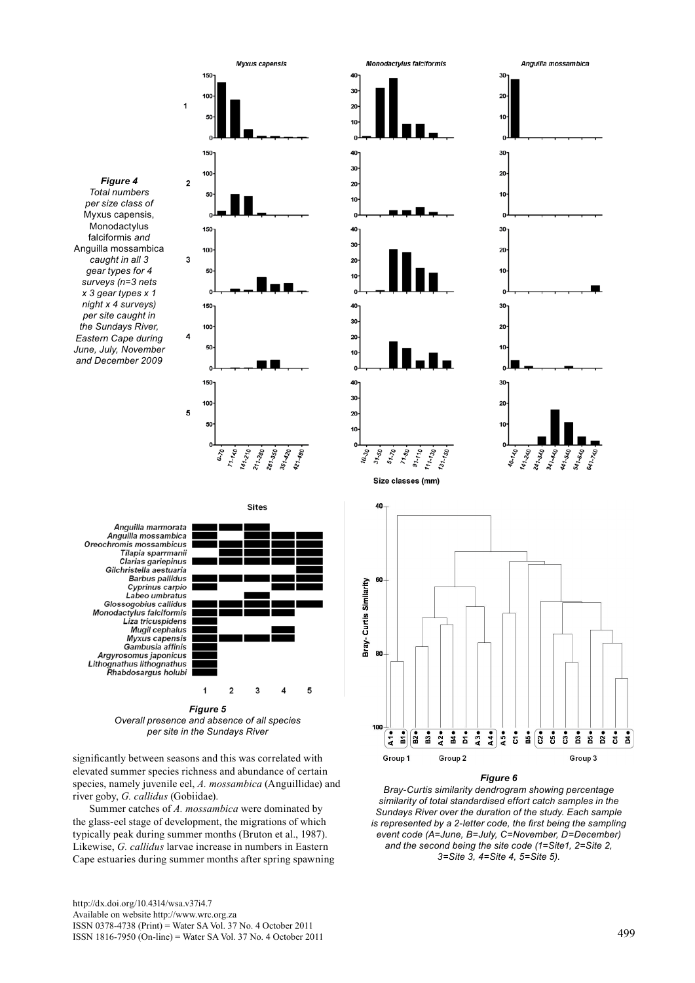

 $\frac{1}{2}$ 

Group 1

 $\begin{bmatrix} 2 \\ 3 \\ 3 \end{bmatrix}$ 

*Overall presence and absence of all species per site in the Sundays River*

significantly between seasons and this was correlated with elevated summer species richness and abundance of certain species, namely juvenile eel, *A. mossambica* (Anguillidae) and river goby, *G. callidus* (Gobiidae).

Summer catches of *A. mossambica* were dominated by the glass-eel stage of development, the migrations of which typically peak during summer months (Bruton et al., 1987). Likewise, *G. callidus* larvae increase in numbers in Eastern Cape estuaries during summer months after spring spawning



*similarity of total standardised effort catch samples in the Sundays River over the duration of the study. Each sample is represented by a 2-letter code, the first being the sampling event code (A=June, B=July, C=November, D=December) and the second being the site code (1=Site1, 2=Site 2, 3=Site 3, 4=Site 4, 5=Site 5).*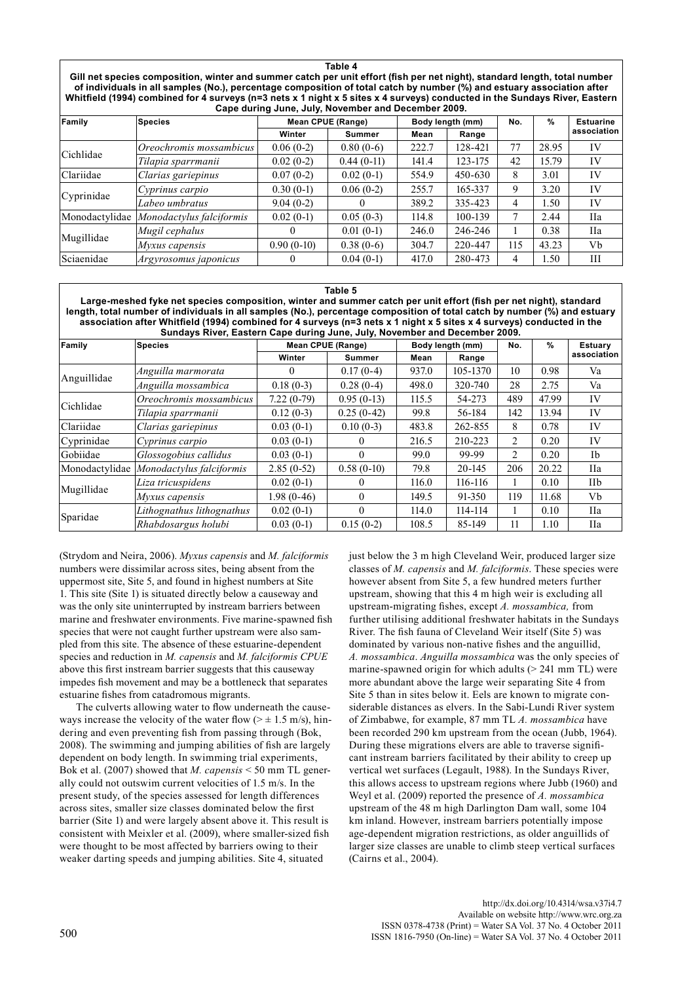**Table 4 Gill net species composition, winter and summer catch per unit effort (fish per net night), standard length, total number of individuals in all samples (No.), percentage composition of total catch by number (%) and estuary association after**  Whitfield (1994) combined for 4 surveys (n=3 nets x 1 night x 5 sites x 4 surveys) conducted in the Sundays River, Eastern **Cape during June, July, November and December 2009.**

| Family         | <b>Species</b>           |              | <b>Mean CPUE (Range)</b> |       | Body length (mm) | No. | %     | <b>Estuarine</b> |  |  |
|----------------|--------------------------|--------------|--------------------------|-------|------------------|-----|-------|------------------|--|--|
|                |                          | Winter       | <b>Summer</b>            | Mean  | Range            |     |       | association      |  |  |
| Cichlidae      | Oreochromis mossambicus  | $0.06(0-2)$  | $0.80(0-6)$              | 222.7 | 128-421          | 77  | 28.95 | IV               |  |  |
|                | Tilapia sparrmanii       | $0.02(0-2)$  | $0.44(0-11)$             | 141.4 | 123-175          | 42  | 15.79 | IV               |  |  |
| Clariidae      | Clarias gariepinus       | $0.07(0-2)$  | $0.02(0-1)$              | 554.9 | 450-630          | 8   | 3.01  | IV               |  |  |
|                | Cyprinus carpio          | $0.30(0-1)$  | $0.06(0-2)$              | 255.7 | 165-337          | 9   | 3.20  | IV               |  |  |
| Cyprinidae     | Labeo umbratus           | $9.04(0-2)$  | $\theta$                 | 389.2 | 335-423          | 4   | l.50  | IV               |  |  |
| Monodactylidae | Monodactylus falciformis | $0.02(0-1)$  | $0.05(0-3)$              | 114.8 | 100-139          | 7   | 2.44  | <b>IIa</b>       |  |  |
| Mugillidae     | Mugil cephalus           | $\theta$     | $0.01(0-1)$              | 246.0 | 246-246          |     | 0.38  | IIa              |  |  |
|                | Myxus capensis           | $0.90(0-10)$ | $0.38(0-6)$              | 304.7 | 220-447          | 115 | 43.23 | Vb               |  |  |
| Sciaenidae     | Argyrosomus japonicus    |              | $0.04(0-1)$              | 417.0 | 280-473          | 4   | 1.50  | Ш                |  |  |

#### **Table 5**

**Large-meshed fyke net species composition, winter and summer catch per unit effort (fish per net night), standard length, total number of individuals in all samples (No.), percentage composition of total catch by number (%) and estuary association after Whitfield (1994) combined for 4 surveys (n=3 nets x 1 night x 5 sites x 4 surveys) conducted in the Sundays River, Eastern Cape during June, July, November and December 2009.**

| Family         | <b>Species</b>            | Mean CPUE (Range) |               |       | Body length (mm) | No. | %     | Estuary     |  |  |
|----------------|---------------------------|-------------------|---------------|-------|------------------|-----|-------|-------------|--|--|
|                |                           | Winter            | <b>Summer</b> | Mean  | Range            |     |       | association |  |  |
| Anguillidae    | Anguilla marmorata        | $_{0}$            | $0.17(0-4)$   | 937.0 | 105-1370         | 10  | 0.98  | Va          |  |  |
|                | Anguilla mossambica       | $0.18(0-3)$       | $0.28(0-4)$   | 498.0 | 320-740          | 28  | 2.75  | Va          |  |  |
| Cichlidae      | Oreochromis mossambicus   | $7.22(0-79)$      | $0.95(0-13)$  | 115.5 | 54-273           | 489 | 47.99 | IV          |  |  |
|                | Tilapia sparrmanii        | $0.12(0-3)$       | $0.25(0-42)$  | 99.8  | 56-184           | 142 | 13.94 | IV          |  |  |
| Clariidae      | Clarias gariepinus        | $0.03(0-1)$       | $0.10(0-3)$   | 483.8 | 262-855          | 8   | 0.78  | IV          |  |  |
| Cyprinidae     | Cyprinus carpio           | $0.03(0-1)$       | $\theta$      | 216.5 | 210-223          | 2   | 0.20  | IV          |  |  |
| Gobiidae       | Glossogobius callidus     | $0.03(0-1)$       | $\Omega$      | 99.0  | 99-99            | 2   | 0.20  | <b>Ib</b>   |  |  |
| Monodactylidae | Monodactylus falciformis  | $2.85(0-52)$      | $0.58(0-10)$  | 79.8  | 20-145           | 206 | 20.22 | <b>IIa</b>  |  |  |
|                | Liza tricuspidens         | $0.02(0-1)$       | 0             | 116.0 | 116-116          |     | 0.10  | <b>IIb</b>  |  |  |
| Mugillidae     | Myxus capensis            | $1.98(0-46)$      | $\theta$      | 149.5 | 91-350           | 119 | 11.68 | Vb          |  |  |
|                | Lithognathus lithognathus | $0.02(0-1)$       | $\Omega$      | 114.0 | 114-114          |     | 0.10  | <b>IIa</b>  |  |  |
| Sparidae       | Rhabdosargus holubi       | $0.03(0-1)$       | $0.15(0-2)$   | 108.5 | 85-149           | 11  | 1.10  | Пa          |  |  |

(Strydom and Neira, 2006). *Myxus capensis* and *M. falciformis* numbers were dissimilar across sites, being absent from the uppermost site, Site 5, and found in highest numbers at Site 1. This site (Site 1) is situated directly below a causeway and was the only site uninterrupted by instream barriers between marine and freshwater environments. Five marine-spawned fish species that were not caught further upstream were also sampled from this site. The absence of these estuarine-dependent species and reduction in *M. capensis* and *M. falciformis CPUE*  above this first instream barrier suggests that this causeway impedes fish movement and may be a bottleneck that separates estuarine fishes from catadromous migrants.

The culverts allowing water to flow underneath the causeways increase the velocity of the water flow  $(>= 1.5 \text{ m/s})$ , hindering and even preventing fish from passing through (Bok, 2008). The swimming and jumping abilities of fish are largely dependent on body length. In swimming trial experiments, Bok et al. (2007) showed that *M. capensis* < 50 mm TL generally could not outswim current velocities of 1.5 m/s. In the present study, of the species assessed for length differences across sites, smaller size classes dominated below the first barrier (Site 1) and were largely absent above it. This result is consistent with Meixler et al. (2009), where smaller-sized fish were thought to be most affected by barriers owing to their weaker darting speeds and jumping abilities. Site 4, situated

just below the 3 m high Cleveland Weir, produced larger size classes of *M. capensis* and *M. falciformis*. These species were however absent from Site 5, a few hundred meters further upstream, showing that this 4 m high weir is excluding all upstream-migrating fishes, except *A. mossambica,* from further utilising additional freshwater habitats in the Sundays River. The fish fauna of Cleveland Weir itself (Site 5) was dominated by various non-native fishes and the anguillid, *A. mossambica*. *Anguilla mossambica* was the only species of marine-spawned origin for which adults  $(> 241$  mm TL) were more abundant above the large weir separating Site 4 from Site 5 than in sites below it. Eels are known to migrate considerable distances as elvers. In the Sabi-Lundi River system of Zimbabwe, for example, 87 mm TL *A. mossambica* have been recorded 290 km upstream from the ocean (Jubb, 1964). During these migrations elvers are able to traverse significant instream barriers facilitated by their ability to creep up vertical wet surfaces (Legault, 1988). In the Sundays River, this allows access to upstream regions where Jubb (1960) and Weyl et al. (2009) reported the presence of *A. mossambica* upstream of the 48 m high Darlington Dam wall, some 104 km inland. However, instream barriers potentially impose age-dependent migration restrictions, as older anguillids of larger size classes are unable to climb steep vertical surfaces (Cairns et al., 2004).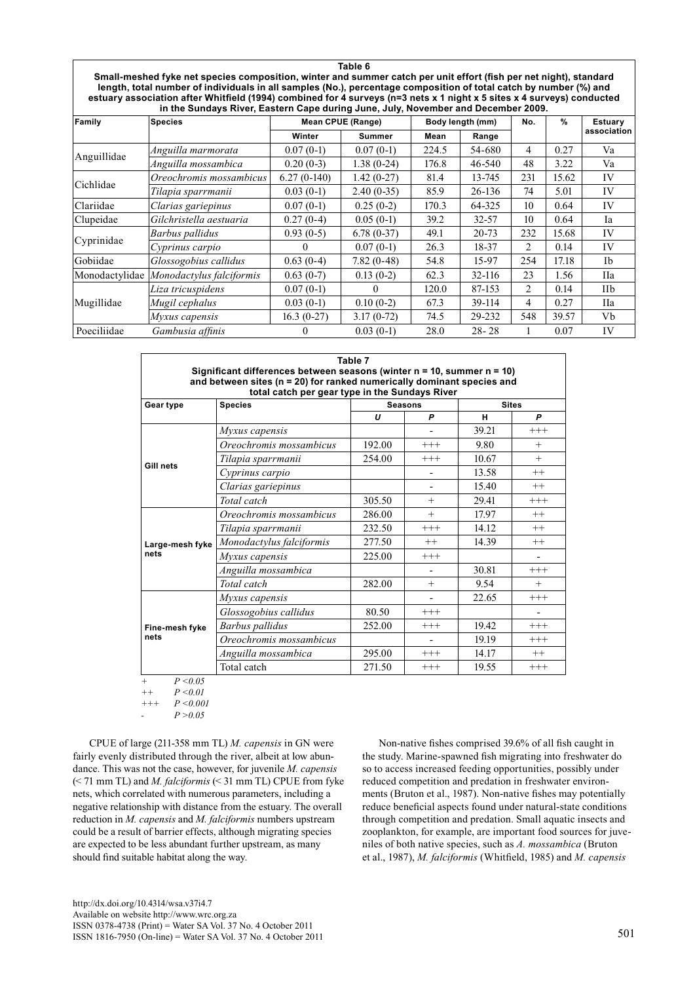**Table 6 Small-meshed fyke net species composition, winter and summer catch per unit effort (fish per net night), standard length, total number of individuals in all samples (No.), percentage composition of total catch by number (%) and estuary association after Whitfield (1994) combined for 4 surveys (n=3 nets x 1 night x 5 sites x 4 surveys) conducted in the Sundays River, Eastern Cape during June, July, November and December 2009.**

| Family         | <b>Species</b>           |               | <b>Mean CPUE (Range)</b><br>Body length (mm) |       | No.       | %   | Estuary |             |  |
|----------------|--------------------------|---------------|----------------------------------------------|-------|-----------|-----|---------|-------------|--|
|                |                          | Winter        | <b>Summer</b>                                | Mean  | Range     |     |         | association |  |
| Anguillidae    | Anguilla marmorata       | $0.07(0-1)$   | $0.07(0-1)$                                  | 224.5 | 54-680    | 4   | 0.27    | Va          |  |
|                | Anguilla mossambica      | $0.20(0-3)$   | $1.38(0-24)$                                 | 176.8 | 46-540    | 48  | 3.22    | Va          |  |
| Cichlidae      | Oreochromis mossambicus  | $6.27(0-140)$ | $1.42(0-27)$                                 | 81.4  | 13-745    | 231 | 15.62   | IV          |  |
|                | Tilapia sparrmanii       | $0.03(0-1)$   | $2.40(0-35)$                                 | 85.9  | $26-136$  | 74  | 5.01    | IV          |  |
| Clariidae      | Clarias gariepinus       | $0.07(0-1)$   | $0.25(0-2)$                                  | 170.3 | 64-325    | 10  | 0.64    | IV          |  |
| Clupeidae      | Gilchristella aestuaria  | $0.27(0-4)$   | $0.05(0-1)$                                  | 39.2  | 32-57     | 10  | 0.64    | Ia          |  |
|                | Barbus pallidus          | $0.93(0-5)$   | $6.78(0-37)$                                 | 49.1  | $20 - 73$ | 232 | 15.68   | IV          |  |
| Cyprinidae     | Cyprinus carpio          |               | $0.07(0-1)$                                  | 26.3  | 18-37     | 2   | 0.14    | IV          |  |
| Gobiidae       | Glossogobius callidus    | $0.63(0-4)$   | $7.82(0-48)$                                 | 54.8  | 15-97     | 254 | 17.18   | <b>Ib</b>   |  |
| Monodactylidae | Monodactylus falciformis | $0.63(0-7)$   | $0.13(0-2)$                                  | 62.3  | 32-116    | 23  | 1.56    | <b>IIa</b>  |  |
|                | Liza tricuspidens        | $0.07(0-1)$   | $\Omega$                                     | 120.0 | 87-153    | 2   | 0.14    | IIb         |  |
| Mugillidae     | Mugil cephalus           | $0.03(0-1)$   | $0.10(0-2)$                                  | 67.3  | 39-114    | 4   | 0.27    | <b>IIa</b>  |  |
|                | Myxus capensis           | $16.3(0-27)$  | $3.17(0-72)$                                 | 74.5  | 29-232    | 548 | 39.57   | Vb          |  |
| Poeciliidae    | Gambusia affinis         |               | $0.03(0-1)$                                  | 28.0  | $28 - 28$ |     | 0.07    | IV          |  |

| Table 7<br>Significant differences between seasons (winter n = 10, summer n = 10)<br>and between sites (n = 20) for ranked numerically dominant species and<br>total catch per gear type in the Sundays River |                          |                |         |              |          |  |  |  |
|---------------------------------------------------------------------------------------------------------------------------------------------------------------------------------------------------------------|--------------------------|----------------|---------|--------------|----------|--|--|--|
| Gear type                                                                                                                                                                                                     | <b>Species</b>           | <b>Seasons</b> |         | <b>Sites</b> |          |  |  |  |
|                                                                                                                                                                                                               |                          | U              | P       | н            | P        |  |  |  |
|                                                                                                                                                                                                               | Myxus capensis           |                |         | 39.21        | $+++$    |  |  |  |
|                                                                                                                                                                                                               | Oreochromis mossambicus  | 192.00         | $+++$   | 9.80         | $+$      |  |  |  |
|                                                                                                                                                                                                               | Tilapia sparrmanii       | 254.00         | $+++$   | 10.67        | $+$      |  |  |  |
| Gill nets                                                                                                                                                                                                     | Cyprinus carpio          |                |         | 13.58        | $^{++}$  |  |  |  |
|                                                                                                                                                                                                               | Clarias gariepinus       |                |         | 15.40        | $++$     |  |  |  |
|                                                                                                                                                                                                               | Total catch              | 305.50         | $^{+}$  | 29.41        | $+++$    |  |  |  |
|                                                                                                                                                                                                               | Oreochromis mossambicus  | 286.00         | $^{+}$  | 17.97        | $^{++}$  |  |  |  |
|                                                                                                                                                                                                               | Tilapia sparrmanii       | 232.50         | $+++$   | 14.12        | $^{++}$  |  |  |  |
| Large-mesh fyke                                                                                                                                                                                               | Monodactylus falciformis | 277.50         | $^{++}$ | 14.39        | $^{++}$  |  |  |  |
| nets                                                                                                                                                                                                          | Myxus capensis           | 225.00         | $+++$   |              |          |  |  |  |
|                                                                                                                                                                                                               | Anguilla mossambica      |                |         | 30.81        | $+++$    |  |  |  |
|                                                                                                                                                                                                               | Total catch              | 282.00         | $^{+}$  | 9.54         | $+$      |  |  |  |
|                                                                                                                                                                                                               | Myxus capensis           |                |         | 22.65        | $+++$    |  |  |  |
|                                                                                                                                                                                                               | Glossogobius callidus    | 80.50          | $+++$   |              |          |  |  |  |
| Fine-mesh fyke                                                                                                                                                                                                | Barbus pallidus          | 252.00         | $+++$   | 19.42        | $^{+++}$ |  |  |  |
| nets                                                                                                                                                                                                          | Oreochromis mossambicus  |                |         | 19.19        | $+++$    |  |  |  |
|                                                                                                                                                                                                               | Anguilla mossambica      | 295.00         | $+++$   | 14.17        | $++$     |  |  |  |
|                                                                                                                                                                                                               | Total catch              | 271.50         | $+++$   | 19.55        | $+++$    |  |  |  |

*+ P <0.05 ++ P <0.01*

*+++ P <0.001*

 $P > 0.05$ 

CPUE of large (211-358 mm TL) *M. capensis* in GN were fairly evenly distributed through the river, albeit at low abundance. This was not the case, however, for juvenile *M. capensis*  (< 71 mm TL) and *M. falciformis* (< 31 mm TL) CPUE from fyke nets, which correlated with numerous parameters, including a negative relationship with distance from the estuary. The overall reduction in *M. capensis* and *M. falciformis* numbers upstream could be a result of barrier effects, although migrating species are expected to be less abundant further upstream, as many should find suitable habitat along the way.

Non-native fishes comprised 39.6% of all fish caught in the study. Marine-spawned fish migrating into freshwater do so to access increased feeding opportunities, possibly under reduced competition and predation in freshwater environments (Bruton et al., 1987). Non-native fishes may potentially reduce beneficial aspects found under natural-state conditions through competition and predation. Small aquatic insects and zooplankton, for example, are important food sources for juveniles of both native species, such as *A. mossambica* (Bruton et al., 1987), *M. falciformis* (Whitfield, 1985) and *M. capensis*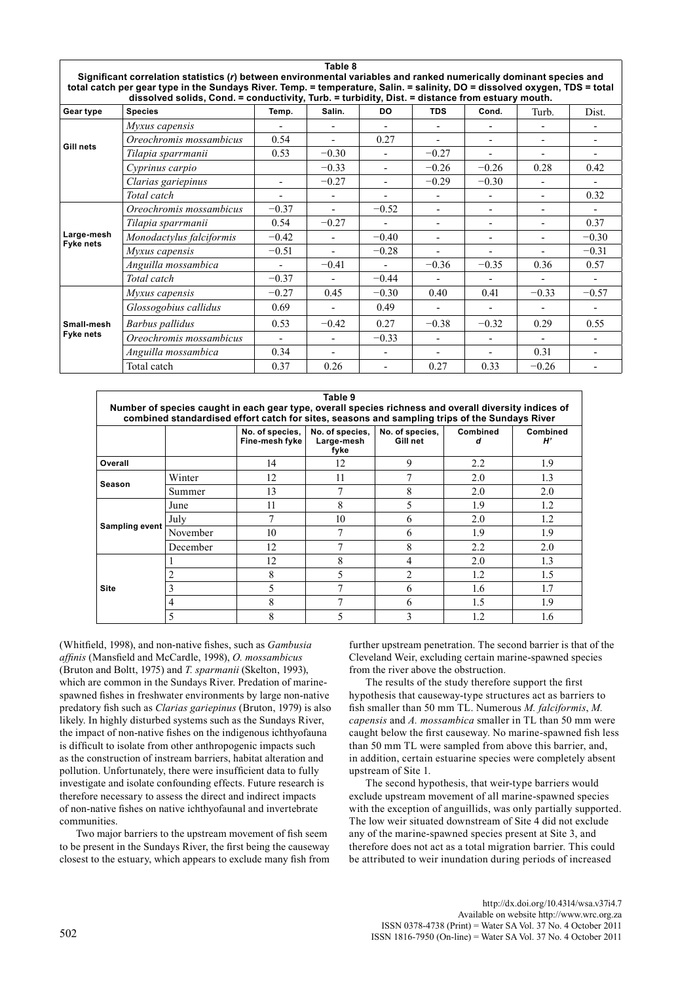| Significant correlation statistics (r) between environmental variables and ranked numerically dominant species and<br>total catch per gear type in the Sundays River. Temp. = temperature, Salin. = salinity, DO = dissolved oxygen, TDS = total<br>dissolved solids, Cond. = conductivity, Turb. = turbidity, Dist. = distance from estuary mouth. |                          |                          |                          |                |                          |                |                          |                          |
|-----------------------------------------------------------------------------------------------------------------------------------------------------------------------------------------------------------------------------------------------------------------------------------------------------------------------------------------------------|--------------------------|--------------------------|--------------------------|----------------|--------------------------|----------------|--------------------------|--------------------------|
| Gear type                                                                                                                                                                                                                                                                                                                                           | <b>Species</b>           | Temp.                    | Salin.                   | DO.            | <b>TDS</b>               | Cond.          | Turb.                    | Dist.                    |
|                                                                                                                                                                                                                                                                                                                                                     | Myxus capensis           |                          |                          |                |                          |                |                          |                          |
| Gill nets                                                                                                                                                                                                                                                                                                                                           | Oreochromis mossambicus  | 0.54                     |                          | 0.27           |                          |                |                          |                          |
|                                                                                                                                                                                                                                                                                                                                                     | Tilapia sparrmanii       | 0.53                     | $-0.30$                  | $\overline{a}$ | $-0.27$                  |                |                          |                          |
|                                                                                                                                                                                                                                                                                                                                                     | Cyprinus carpio          |                          | $-0.33$                  |                | $-0.26$                  | $-0.26$        | 0.28                     | 0.42                     |
|                                                                                                                                                                                                                                                                                                                                                     | Clarias gariepinus       |                          | $-0.27$                  | ٠              | $-0.29$                  | $-0.30$        |                          | -                        |
|                                                                                                                                                                                                                                                                                                                                                     | Total catch              |                          |                          |                |                          |                | $\overline{\phantom{0}}$ | 0.32                     |
|                                                                                                                                                                                                                                                                                                                                                     | Oreochromis mossambicus  | $-0.37$                  |                          | $-0.52$        | $\overline{\phantom{a}}$ | $\blacksquare$ | $\overline{\phantom{0}}$ | $\overline{\phantom{0}}$ |
|                                                                                                                                                                                                                                                                                                                                                     | Tilapia sparrmanii       | 0.54                     | $-0.27$                  |                |                          |                |                          | 0.37                     |
| Large-mesh<br><b>Fyke nets</b>                                                                                                                                                                                                                                                                                                                      | Monodactylus falciformis | $-0.42$                  |                          | $-0.40$        |                          |                |                          | $-0.30$                  |
|                                                                                                                                                                                                                                                                                                                                                     | Myxus capensis           | $-0.51$                  |                          | $-0.28$        |                          |                |                          | $-0.31$                  |
|                                                                                                                                                                                                                                                                                                                                                     | Anguilla mossambica      | $\blacksquare$           | $-0.41$                  | $\blacksquare$ | $-0.36$                  | $-0.35$        | 0.36                     | 0.57                     |
|                                                                                                                                                                                                                                                                                                                                                     | Total catch              | $-0.37$                  |                          | $-0.44$        |                          |                |                          |                          |
|                                                                                                                                                                                                                                                                                                                                                     | Myxus capensis           | $-0.27$                  | 0.45                     | $-0.30$        | 0.40                     | 0.41           | $-0.33$                  | $-0.57$                  |
|                                                                                                                                                                                                                                                                                                                                                     | Glossogobius callidus    | 0.69                     |                          | 0.49           |                          |                |                          |                          |
| Small-mesh                                                                                                                                                                                                                                                                                                                                          | Barbus pallidus          | 0.53                     | $-0.42$                  | 0.27           | $-0.38$                  | $-0.32$        | 0.29                     | 0.55                     |
| <b>Fyke nets</b>                                                                                                                                                                                                                                                                                                                                    | Oreochromis mossambicus  | $\overline{\phantom{a}}$ | $\overline{\phantom{0}}$ | $-0.33$        | $\blacksquare$           |                | $\overline{\phantom{0}}$ | $\overline{a}$           |
|                                                                                                                                                                                                                                                                                                                                                     | Anguilla mossambica      | 0.34                     |                          |                |                          |                | 0.31                     |                          |
|                                                                                                                                                                                                                                                                                                                                                     | Total catch              | 0.37                     | 0.26                     |                | 0.27                     | 0.33           | $-0.26$                  |                          |

**Table 8**

|                                                                                                                                                                                                        | Table 9  |                                   |                                       |                             |                 |                       |  |  |  |
|--------------------------------------------------------------------------------------------------------------------------------------------------------------------------------------------------------|----------|-----------------------------------|---------------------------------------|-----------------------------|-----------------|-----------------------|--|--|--|
| Number of species caught in each gear type, overall species richness and overall diversity indices of<br>combined standardised effort catch for sites, seasons and sampling trips of the Sundays River |          |                                   |                                       |                             |                 |                       |  |  |  |
|                                                                                                                                                                                                        |          | No. of species,<br>Fine-mesh fyke | No. of species,<br>Large-mesh<br>fyke | No. of species,<br>Gill net | <b>Combined</b> | <b>Combined</b><br>H' |  |  |  |
| Overall                                                                                                                                                                                                |          | 14                                | 12                                    | 9                           | 2.2             | 1.9                   |  |  |  |
| Season                                                                                                                                                                                                 | Winter   | 12                                | 11                                    |                             | 2.0             | 1.3                   |  |  |  |
|                                                                                                                                                                                                        | Summer   | 13                                |                                       | 8                           | 2.0             | 2.0                   |  |  |  |
|                                                                                                                                                                                                        | June     | 11                                | 8                                     | 5                           | 1.9             | 1.2                   |  |  |  |
|                                                                                                                                                                                                        | July     |                                   | 10                                    | 6                           | 2.0             | 1.2                   |  |  |  |
| Sampling event                                                                                                                                                                                         | November | 10                                |                                       | 6                           | 1.9             | 1.9                   |  |  |  |
|                                                                                                                                                                                                        | December | 12                                |                                       | 8                           | 2.2             | 2.0                   |  |  |  |
|                                                                                                                                                                                                        |          | 12                                | 8                                     | 4                           | 2.0             | 1.3                   |  |  |  |
|                                                                                                                                                                                                        | 2        | 8                                 |                                       | 2                           | 1.2             | 1.5                   |  |  |  |
| Site                                                                                                                                                                                                   | 3        |                                   |                                       | 6                           | 1.6             | 1.7                   |  |  |  |
|                                                                                                                                                                                                        | 4        | 8                                 |                                       | 6                           | 1.5             | 1.9                   |  |  |  |
|                                                                                                                                                                                                        | 5        | $\Omega$<br>х                     |                                       |                             | 1.2             | 1.6                   |  |  |  |

(Whitfield, 1998), and non-native fishes, such as *Gambusia affinis* (Mansfield and McCardle, 1998), *O. mossambicus*  (Bruton and Boltt, 1975) and *T. sparmanii* (Skelton, 1993), which are common in the Sundays River. Predation of marinespawned fishes in freshwater environments by large non-native predatory fish such as *Clarias gariepinus* (Bruton, 1979) is also likely. In highly disturbed systems such as the Sundays River, the impact of non-native fishes on the indigenous ichthyofauna is difficult to isolate from other anthropogenic impacts such as the construction of instream barriers, habitat alteration and pollution. Unfortunately, there were insufficient data to fully investigate and isolate confounding effects. Future research is therefore necessary to assess the direct and indirect impacts of non-native fishes on native ichthyofaunal and invertebrate communities.

Two major barriers to the upstream movement of fish seem to be present in the Sundays River, the first being the causeway closest to the estuary, which appears to exclude many fish from further upstream penetration. The second barrier is that of the Cleveland Weir, excluding certain marine-spawned species from the river above the obstruction.

The results of the study therefore support the first hypothesis that causeway-type structures act as barriers to fish smaller than 50 mm TL. Numerous *M. falciformis*, *M. capensis* and *A. mossambica* smaller in TL than 50 mm were caught below the first causeway. No marine-spawned fish less than 50 mm TL were sampled from above this barrier, and, in addition, certain estuarine species were completely absent upstream of Site 1.

The second hypothesis, that weir-type barriers would exclude upstream movement of all marine-spawned species with the exception of anguillids, was only partially supported. The low weir situated downstream of Site 4 did not exclude any of the marine-spawned species present at Site 3, and therefore does not act as a total migration barrier. This could be attributed to weir inundation during periods of increased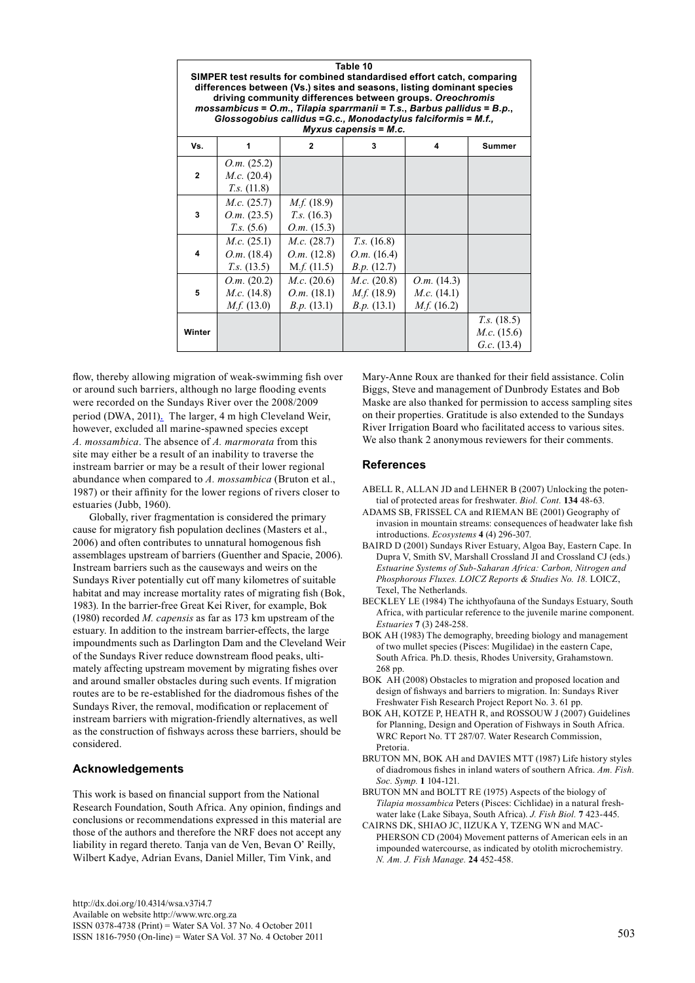| Table 10<br>SIMPER test results for combined standardised effort catch, comparing<br>differences between (Vs.) sites and seasons, listing dominant species<br>driving community differences between groups. Oreochromis<br>mossambicus = $O.m.,$ Tilapia sparrmanii = T.s., Barbus pallidus = $B.p.,$<br>Glossogobius callidus = G.c., Monodactylus falciformis = M.f.,<br>$Myxus$ capensis = $M.c.$ |                                                      |                                                    |                                                      |                                                    |                                                     |  |  |  |
|------------------------------------------------------------------------------------------------------------------------------------------------------------------------------------------------------------------------------------------------------------------------------------------------------------------------------------------------------------------------------------------------------|------------------------------------------------------|----------------------------------------------------|------------------------------------------------------|----------------------------------------------------|-----------------------------------------------------|--|--|--|
| Vs.                                                                                                                                                                                                                                                                                                                                                                                                  | 1                                                    | $\mathbf{2}$                                       | 3                                                    | 4                                                  | <b>Summer</b>                                       |  |  |  |
| $\mathbf{2}$                                                                                                                                                                                                                                                                                                                                                                                         | O.m. (25.2)<br>$M.c.$ (20.4)<br>$T.s.$ (11.8)        |                                                    |                                                      |                                                    |                                                     |  |  |  |
| 3                                                                                                                                                                                                                                                                                                                                                                                                    | $M.c.$ (25.7)<br>O.m. (23.5)<br>T.s. (5.6)           | $M.f.$ (18.9)<br>$T.s.$ (16.3)<br>O.m. (15.3)      |                                                      |                                                    |                                                     |  |  |  |
| 4                                                                                                                                                                                                                                                                                                                                                                                                    | <i>M.c.</i> $(25.1)$<br>O.m. (18.4)<br>$T.s.$ (13.5) | $M.c.$ (28.7)<br>$O.m.$ (12.8)<br>M.f. (11.5)      | $T_{.5}$ . (16.8)<br>$O.m.$ (16.4)<br>B.p. (12.7)    |                                                    |                                                     |  |  |  |
| 5                                                                                                                                                                                                                                                                                                                                                                                                    | O.m. (20.2)<br>$M.c.$ (14.8)<br>$M_f f. (13.0)$      | M.c. (20.6)<br><i>O.m.</i> $(18.1)$<br>B.p. (13.1) | $M.c.$ (20.8)<br><i>M.f.</i> $(18.9)$<br>B.p. (13.1) | O.m. (14.3)<br><i>M.c.</i> $(14.1)$<br>$M_f(16.2)$ |                                                     |  |  |  |
| Winter                                                                                                                                                                                                                                                                                                                                                                                               |                                                      |                                                    |                                                      |                                                    | $T_{.5}$ . (18.5)<br>$M.c.$ (15.6)<br>G.c. $(13.4)$ |  |  |  |

flow, thereby allowing migration of weak-swimming fish over or around such barriers, although no large flooding events were recorded on the Sundays River over the 2008/2009 period (DWA, 2011). The larger, 4 m high Cleveland Weir, however, excluded all marine-spawned species except *A. mossambica*. The absence of *A. marmorata* from this site may either be a result of an inability to traverse the instream barrier or may be a result of their lower regional abundance when compared to *A. mossambica* (Bruton et al., 1987) or their affinity for the lower regions of rivers closer to estuaries (Jubb, 1960).

Globally, river fragmentation is considered the primary cause for migratory fish population declines (Masters et al., 2006) and often contributes to unnatural homogenous fish assemblages upstream of barriers (Guenther and Spacie, 2006). Instream barriers such as the causeways and weirs on the Sundays River potentially cut off many kilometres of suitable habitat and may increase mortality rates of migrating fish (Bok, 1983). In the barrier-free Great Kei River, for example, Bok (1980) recorded *M. capensis* as far as 173 km upstream of the estuary. In addition to the instream barrier-effects, the large impoundments such as Darlington Dam and the Cleveland Weir of the Sundays River reduce downstream flood peaks, ultimately affecting upstream movement by migrating fishes over and around smaller obstacles during such events. If migration routes are to be re-established for the diadromous fishes of the Sundays River, the removal, modification or replacement of instream barriers with migration-friendly alternatives, as well as the construction of fishways across these barriers, should be considered.

# **Acknowledgements**

This work is based on financial support from the National Research Foundation, South Africa. Any opinion, findings and conclusions or recommendations expressed in this material are those of the authors and therefore the NRF does not accept any liability in regard thereto. Tanja van de Ven, Bevan O' Reilly, Wilbert Kadye, Adrian Evans, Daniel Miller, Tim Vink, and

Mary-Anne Roux are thanked for their field assistance. Colin Biggs, Steve and management of Dunbrody Estates and Bob Maske are also thanked for permission to access sampling sites on their properties. Gratitude is also extended to the Sundays River Irrigation Board who facilitated access to various sites. We also thank 2 anonymous reviewers for their comments.

## **References**

- ABELL R, ALLAN JD and LEHNER B (2007) Unlocking the potential of protected areas for freshwater. *Biol. Cont.* **134** 48-63.
- ADAMS SB, FRISSEL CA and RIEMAN BE (2001) Geography of invasion in mountain streams: consequences of headwater lake fish introductions. *Ecosystems* **4** (4) 296-307.
- BAIRD D (2001) Sundays River Estuary, Algoa Bay, Eastern Cape. In Dupra V, Smith SV, Marshall Crossland JI and Crossland CJ (eds.) *Estuarine Systems of Sub-Saharan Africa: Carbon, Nitrogen and Phosphorous Fluxes. LOICZ Reports & Studies No. 18.* LOICZ, Texel, The Netherlands.
- Beckley LE (1984) The ichthyofauna of the Sundays Estuary, South Africa, with particular reference to the juvenile marine component. *Estuaries* **7** (3) 248-258.
- BOK AH (1983) The demography, breeding biology and management of two mullet species (Pisces: Mugilidae) in the eastern Cape, South Africa. Ph.D. thesis, Rhodes University, Grahamstown. 268 pp.
- BOK AH (2008) Obstacles to migration and proposed location and design of fishways and barriers to migration. In: Sundays River Freshwater Fish Research Project Report No. 3. 61 pp.
- BOK AH, KOTZE P, HEATH R, and ROSSOUW J (2007) Guidelines for Planning, Design and Operation of Fishways in South Africa. WRC Report No. TT 287/07. Water Research Commission, Pretoria.
- BRUTON MN, BOK AH and DAVIES MTT (1987) Life history styles of diadromous fishes in inland waters of southern Africa. *Am. Fish. Soc. Symp.* **1** 104-121.
- BRUTON MN and BOLTT RE (1975) Aspects of the biology of *Tilapia mossambica* Peters (Pisces: Cichlidae) in a natural freshwater lake (Lake Sibaya, South Africa). *J. Fish Biol.* **7** 423-445.
- CAIRNS DK, SHIAO JC, IIZUKA Y, TZENG WN and MAC-PHERSON CD (2004) Movement patterns of American eels in an impounded watercourse, as indicated by otolith microchemistry. *N. Am. J. Fish Manage.* **24** 452-458.

<http://dx.doi.org/10.4314/wsa.v37i4.7> Available on website http://www.wrc.org.za ISSN 0378-4738 (Print) = Water SA Vol. 37 No. 4 October 2011  $1$ SSN 1816-7950 (On-line) = Water SA Vol. 37 No. 4 October 2011 503 503